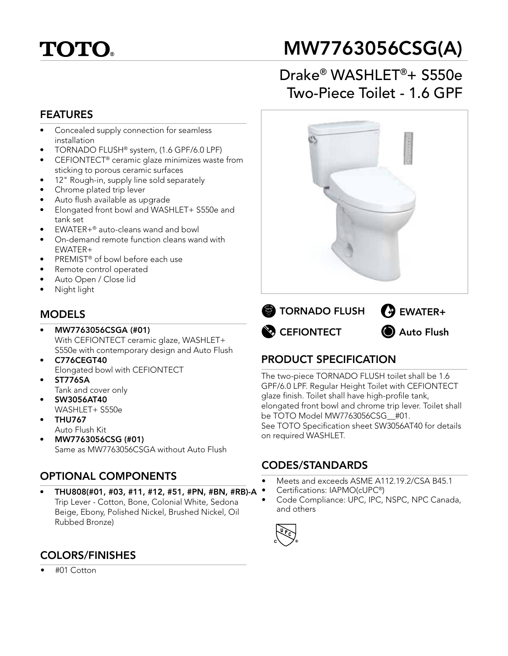# **TOTO**

# MW7763056CSG(A)

# Drake® WASHLET®+ S550e Two-Piece Toilet - 1.6 GPF



- Concealed supply connection for seamless installation
- TORNADO FLUSH® system, (1.6 GPF/6.0 LPF)
- CEFIONTECT® ceramic glaze minimizes waste from sticking to porous ceramic surfaces
- 12" Rough-in, supply line sold separately
- Chrome plated trip lever
- Auto flush available as upgrade
- Elongated front bowl and WASHLET+ S550e and tank set
- EWATER+® auto-cleans wand and bowl
- On-demand remote function cleans wand with EWATER+
- PREMIST<sup>®</sup> of bowl before each use
- Remote control operated
- Auto Open / Close lid
- Night light

### MODELS

- MW7763056CSGA (#01) With CEFIONTECT ceramic glaze, WASHLET+ S550e with contemporary design and Auto Flush
- C776CEGT40 Elongated bowl with CEFIONTECT
- ST776SA Tank and cover only
- SW3056AT40 WASHLET+ S550e
- THU767
	- Auto Flush Kit
- MW7763056CSG (#01) Same as MW7763056CSGA without Auto Flush

## OPTIONAL COMPONENTS

• THU808(#01, #03, #11, #12, #51, #PN, #BN, #RB)-A Trip Lever - Cotton, Bone, Colonial White, Sedona Beige, Ebony, Polished Nickel, Brushed Nickel, Oil Rubbed Bronze)



## COLORS/FINISHES

• #01 Cotton



# **EFIONTECT a** Auto Flush

## PRODUCT SPECIFICATION

The two-piece TORNADO FLUSH toilet shall be 1.6 GPF/6.0 LPF. Regular Height Toilet with CEFIONTECT glaze finish. Toilet shall have high-profile tank, elongated front bowl and chrome trip lever. Toilet shall be TOTO Model MW7763056CSG\_\_#01. See TOTO Specification sheet SW3056AT40 for details on required WASHLET.

#### CODES/STANDARDS

- Meets and exceeds ASME A112.19.2/CSA B45.1
- Certifications: IAPMO(cUPC®)
- Code Compliance: UPC, IPC, NSPC, NPC Canada, and others